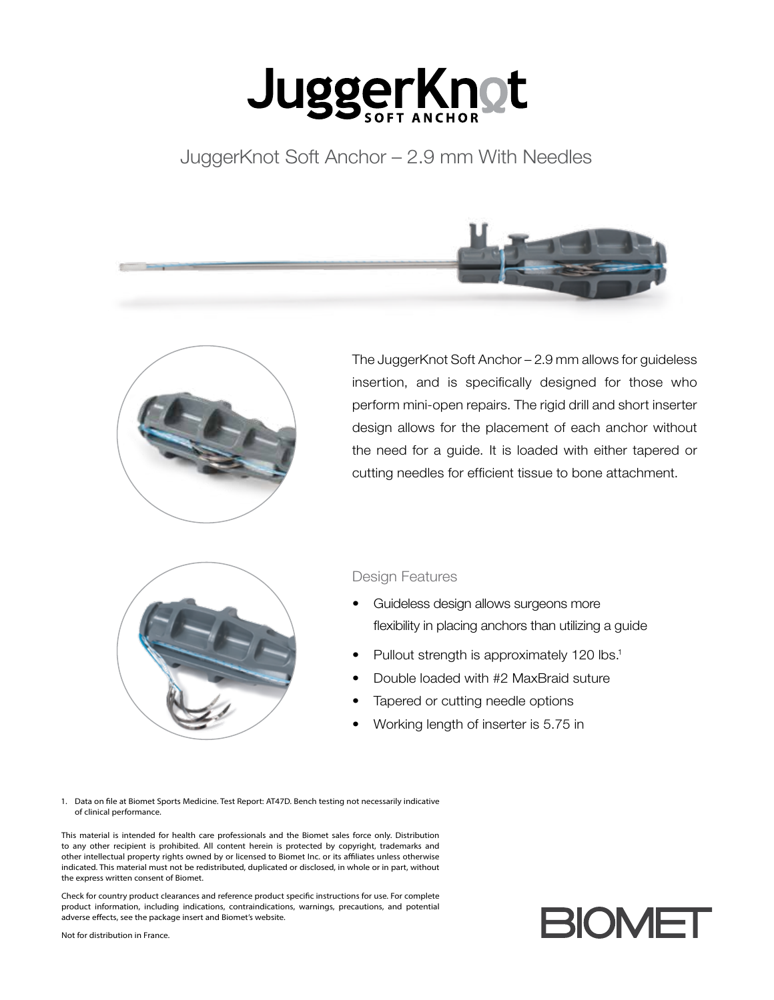

# JuggerKnot Soft Anchor – 2.9 mm With Needles



The JuggerKnot Soft Anchor – 2.9 mm allows for guideless insertion, and is specifically designed for those who perform mini-open repairs. The rigid drill and short inserter design allows for the placement of each anchor without the need for a guide. It is loaded with either tapered or cutting needles for efficient tissue to bone attachment.



## Design Features

- Guideless design allows surgeons more flexibility in placing anchors than utilizing a guide
- Pullout strength is approximately 120 lbs.<sup>1</sup>
- Double loaded with #2 MaxBraid suture
- Tapered or cutting needle options
- Working length of inserter is 5.75 in

1. Data on file at Biomet Sports Medicine. Test Report: AT47D. Bench testing not necessarily indicative of clinical performance.

This material is intended for health care professionals and the Biomet sales force only. Distribution to any other recipient is prohibited. All content herein is protected by copyright, trademarks and other intellectual property rights owned by or licensed to Biomet Inc. or its affiliates unless otherwise indicated. This material must not be redistributed, duplicated or disclosed, in whole or in part, without the express written consent of Biomet.

Check for country product clearances and reference product specific instructions for use. For complete product information, including indications, contraindications, warnings, precautions, and potential adverse effects, see the package insert and Biomet's website.



Not for distribution in France.